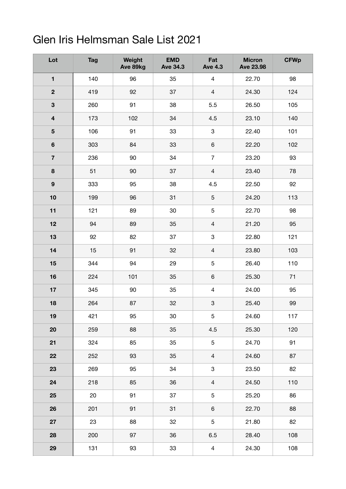## Glen Iris Helmsman Sale List 2021

| Lot                     | <b>Tag</b> | Weight<br>Ave 89kg | <b>EMD</b><br><b>Ave 34.3</b> | Fat<br><b>Ave 4.3</b>     | <b>Micron</b><br><b>Ave 23.98</b> | <b>CFWp</b> |
|-------------------------|------------|--------------------|-------------------------------|---------------------------|-----------------------------------|-------------|
| $\blacksquare$          | 140        | 96                 | 35                            | $\overline{4}$            | 22.70                             | 98          |
| $\overline{\mathbf{2}}$ | 419        | 92                 | 37                            | $\overline{4}$            | 24.30                             | 124         |
| $\mathbf{3}$            | 260        | 91                 | 38                            | 5.5                       | 26.50                             | 105         |
| $\overline{\mathbf{4}}$ | 173        | 102                | 34                            | 4.5                       | 23.10                             | 140         |
| $5\phantom{.0}$         | 106        | 91                 | 33                            | $\ensuremath{\mathsf{3}}$ | 22.40                             | 101         |
| $\bf 6$                 | 303        | 84                 | 33                            | $\,6\,$                   | 22.20                             | 102         |
| $\overline{7}$          | 236        | 90                 | 34                            | $\overline{7}$            | 23.20                             | 93          |
| $\bf8$                  | 51         | 90                 | 37                            | $\overline{4}$            | 23.40                             | 78          |
| $\boldsymbol{9}$        | 333        | 95                 | 38                            | 4.5                       | 22.50                             | 92          |
| 10                      | 199        | 96                 | 31                            | $\sqrt{5}$                | 24.20                             | 113         |
| 11                      | 121        | 89                 | 30                            | $\sqrt{5}$                | 22.70                             | 98          |
| 12                      | 94         | 89                 | 35                            | $\overline{4}$            | 21.20                             | 95          |
| 13                      | 92         | 82                 | 37                            | $\ensuremath{\mathsf{3}}$ | 22.80                             | 121         |
| 14                      | 15         | 91                 | 32                            | $\overline{4}$            | 23.80                             | 103         |
| 15                      | 344        | 94                 | 29                            | $\sqrt{5}$                | 26.40                             | 110         |
| 16                      | 224        | 101                | 35                            | $\,6\,$                   | 25.30                             | 71          |
| 17                      | 345        | 90                 | 35                            | $\overline{4}$            | 24.00                             | 95          |
| 18                      | 264        | 87                 | 32                            | $\ensuremath{\mathsf{3}}$ | 25.40                             | 99          |
| 19                      | 421        | 95                 | 30                            | 5                         | 24.60                             | 117         |
| 20                      | 259        | 88                 | 35                            | 4.5                       | 25.30                             | 120         |
| 21                      | 324        | 85                 | 35                            | $\sqrt{5}$                | 24.70                             | 91          |
| 22                      | 252        | 93                 | 35                            | $\overline{4}$            | 24.60                             | 87          |
| 23                      | 269        | 95                 | 34                            | $\ensuremath{\mathsf{3}}$ | 23.50                             | 82          |
| 24                      | 218        | 85                 | 36                            | $\overline{4}$            | 24.50                             | 110         |
| 25                      | 20         | 91                 | 37                            | $\sqrt{5}$                | 25.20                             | 86          |
| 26                      | 201        | 91                 | 31                            | $\,6\,$                   | 22.70                             | 88          |
| 27                      | 23         | 88                 | 32                            | $\sqrt{5}$                | 21.80                             | 82          |
| 28                      | 200        | 97                 | 36                            | 6.5                       | 28.40                             | 108         |
| 29                      | 131        | 93                 | 33                            | $\overline{4}$            | 24.30                             | 108         |